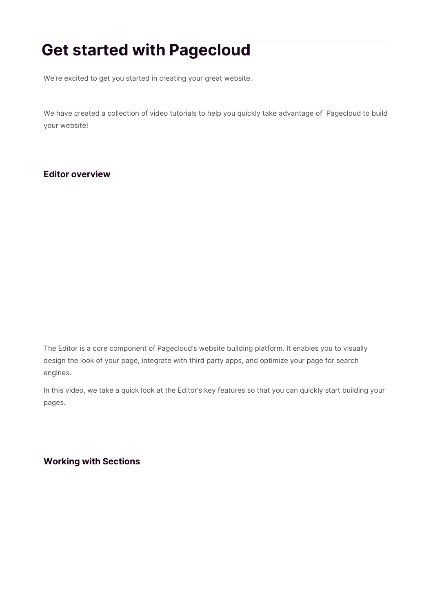# **Get started with Pagecloud**

We're excited to get you started in creating your great website.

We have created a collection of video tutorials to help you quickly take advantage of Pagecloud to build your website!

## **Editor overview**

The Editor is a core component of Pagecloud's website building platform. It enables you to visually design the look of your page, integrate with third party apps, and optimize your page for search engines.

In this video, we take a quick look at the Editor's key features so that you can quickly start building your pages.

**Working with Sections**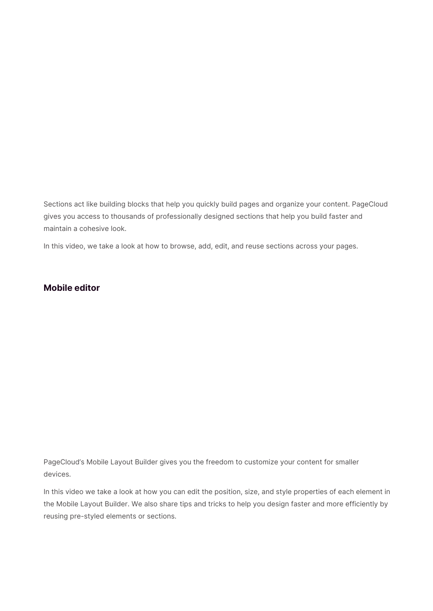Sections act like building blocks that help you quickly build pages and organize your content. PageCloud gives you access to thousands of professionally designed sections that help you build faster and maintain a cohesive look.

In this video, we take a look at how to browse, add, edit, and reuse sections across your pages.

## **Mobile editor**

PageCloud's Mobile Layout Builder gives you the freedom to customize your content for smaller devices.

In this video we take a look at how you can edit the position, size, and style properties of each element in the Mobile Layout Builder. We also share tips and tricks to help you design faster and more efficiently by reusing pre-styled elements or sections.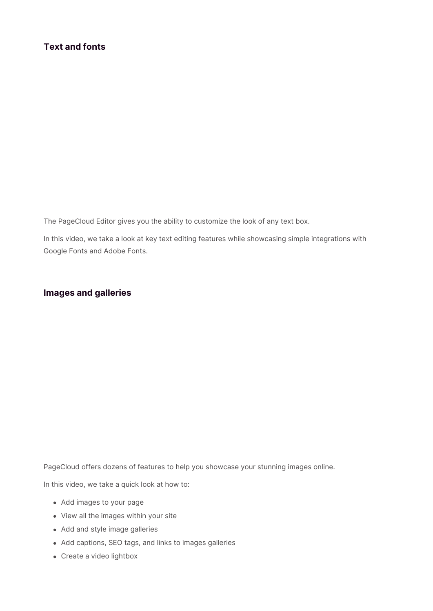The PageCloud Editor gives you the ability to customize the look of any text box.

In this video, we take a look at key text editing features while showcasing simple integrations with Google Fonts and Adobe Fonts.

## **Images and galleries**

PageCloud offers dozens of features to help you showcase your stunning images online.

In this video, we take a quick look at how to:

- Add images to your page
- View all the images within your site
- Add and style image galleries
- Add captions, SEO tags, and links to images galleries
- Create a video lightbox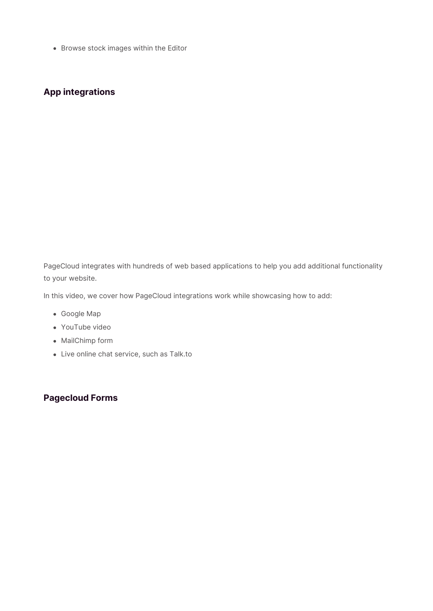Browse stock images within the Editor

# **App integrations**

PageCloud integrates with hundreds of web based applications to help you add additional functionality to your website.

In this video, we cover how PageCloud integrations work while showcasing how to add:

- Google Map
- YouTube video
- MailChimp form
- Live online chat service, such as Talk.to

## **Pagecloud Forms**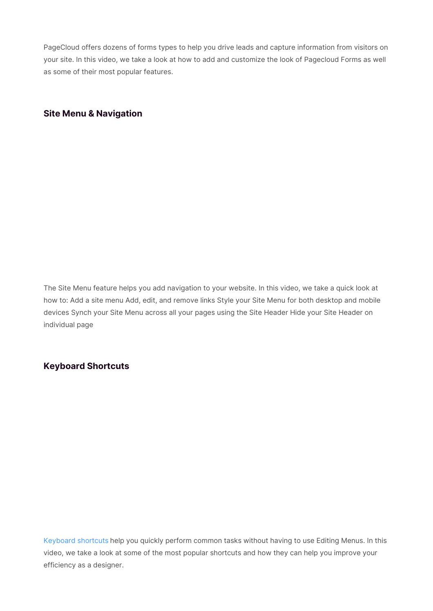PageCloud offers dozens of forms types to help you drive leads and capture information from visitors on your site. In this video, we take a look at how to add and customize the look of Pagecloud Forms as well as some of their most popular features.

## **Site Menu & Navigation**

The Site Menu feature helps you add navigation to your website. In this video, we take a quick look at how to: Add a site menu Add, edit, and remove links Style your Site Menu for both desktop and mobile devices Synch your Site Menu across all your pages using the Site Header Hide your Site Header on individual page

#### **Keyboard Shortcuts**

Keyboard shortcuts help you quickly perform common tasks without having to use Editing Menus. In this video, we take a look at some of the most popular shortcuts and how they can help you improve your efficiency as a designer.